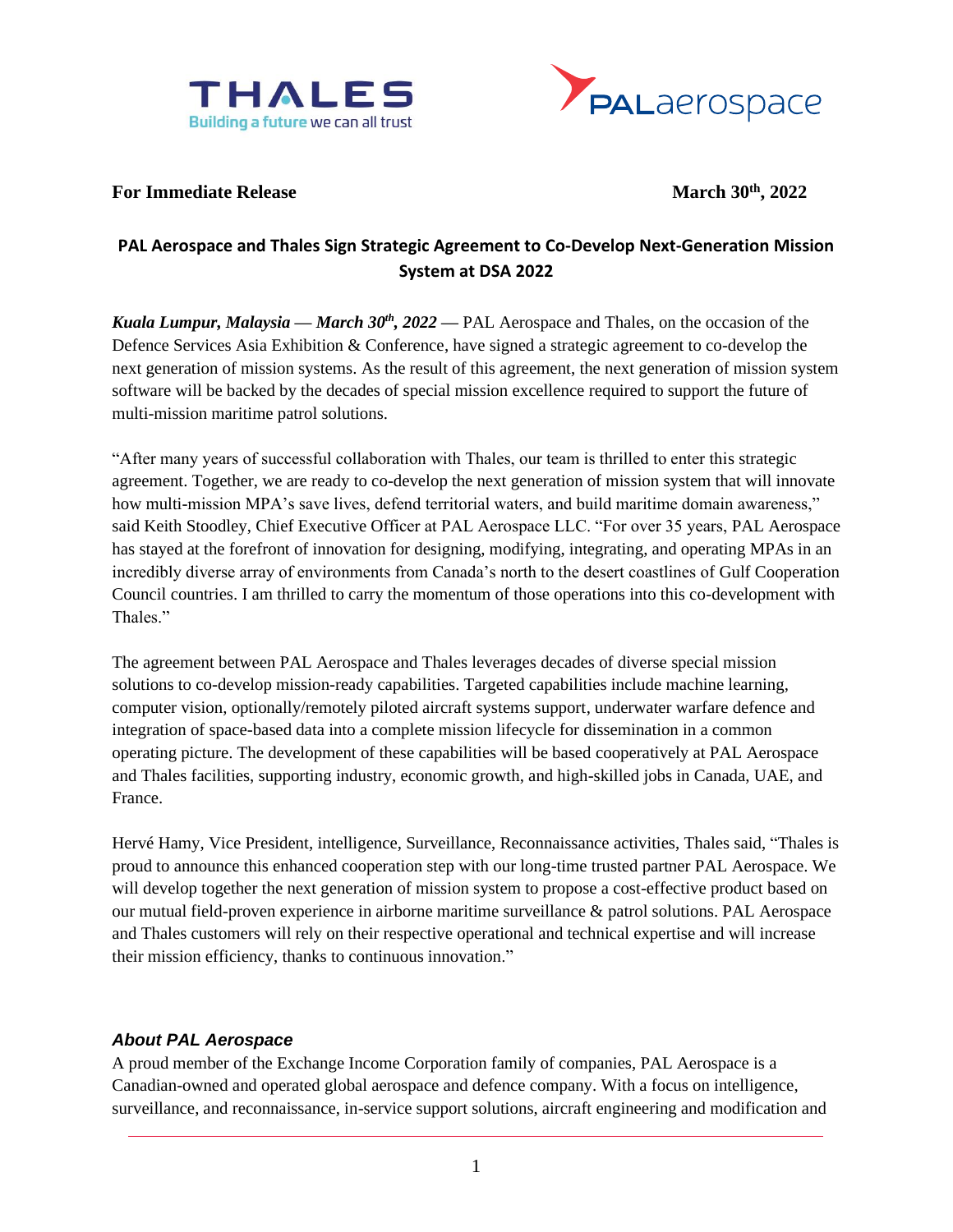



## For Immediate Release March<sup>30th</sup>, 2022

# **PAL Aerospace and Thales Sign Strategic Agreement to Co-Develop Next-Generation Mission System at DSA 2022**

*Kuala Lumpur, Malaysia — March 30th, 2022 —* PAL Aerospace and Thales, on the occasion of the Defence Services Asia Exhibition & Conference, have signed a strategic agreement to co-develop the next generation of mission systems. As the result of this agreement, the next generation of mission system software will be backed by the decades of special mission excellence required to support the future of multi-mission maritime patrol solutions.

"After many years of successful collaboration with Thales, our team is thrilled to enter this strategic agreement. Together, we are ready to co-develop the next generation of mission system that will innovate how multi-mission MPA's save lives, defend territorial waters, and build maritime domain awareness," said Keith Stoodley, Chief Executive Officer at PAL Aerospace LLC. "For over 35 years, PAL Aerospace has stayed at the forefront of innovation for designing, modifying, integrating, and operating MPAs in an incredibly diverse array of environments from Canada's north to the desert coastlines of Gulf Cooperation Council countries. I am thrilled to carry the momentum of those operations into this co-development with Thales."

The agreement between PAL Aerospace and Thales leverages decades of diverse special mission solutions to co-develop mission-ready capabilities. Targeted capabilities include machine learning, computer vision, optionally/remotely piloted aircraft systems support, underwater warfare defence and integration of space-based data into a complete mission lifecycle for dissemination in a common operating picture. The development of these capabilities will be based cooperatively at PAL Aerospace and Thales facilities, supporting industry, economic growth, and high-skilled jobs in Canada, UAE, and France.

Hervé Hamy, Vice President, intelligence, Surveillance, Reconnaissance activities, Thales said, "Thales is proud to announce this enhanced cooperation step with our long-time trusted partner PAL Aerospace. We will develop together the next generation of mission system to propose a cost-effective product based on our mutual field-proven experience in airborne maritime surveillance & patrol solutions. PAL Aerospace and Thales customers will rely on their respective operational and technical expertise and will increase their mission efficiency, thanks to continuous innovation."

## *About PAL Aerospace*

A proud member of the Exchange Income Corporation family of companies, PAL Aerospace is a Canadian-owned and operated global aerospace and defence company. With a focus on intelligence, surveillance, and reconnaissance, in-service support solutions, aircraft engineering and modification and